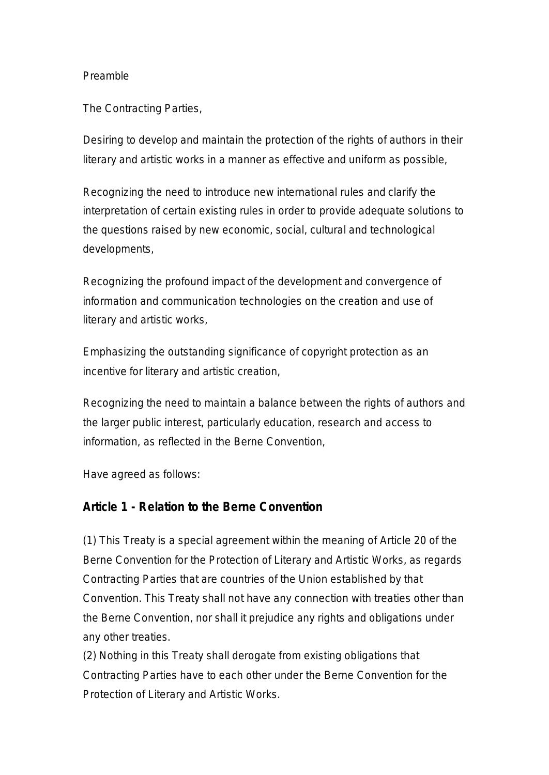#### Preamble

The Contracting Parties,

Desiring to develop and maintain the protection of the rights of authors in their literary and artistic works in a manner as effective and uniform as possible,

Recognizing the need to introduce new international rules and clarify the interpretation of certain existing rules in order to provide adequate solutions to the questions raised by new economic, social, cultural and technological developments,

Recognizing the profound impact of the development and convergence of information and communication technologies on the creation and use of literary and artistic works,

Emphasizing the outstanding significance of copyright protection as an incentive for literary and artistic creation,

Recognizing the need to maintain a balance between the rights of authors and the larger public interest, particularly education, research and access to information, as reflected in the Berne Convention,

Have agreed as follows:

#### **Article 1 - Relation to the Berne Convention**

(1) This Treaty is a special agreement within the meaning of Article 20 of the Berne Convention for the Protection of Literary and Artistic Works, as regards Contracting Parties that are countries of the Union established by that Convention. This Treaty shall not have any connection with treaties other than the Berne Convention, nor shall it prejudice any rights and obligations under any other treaties.

(2) Nothing in this Treaty shall derogate from existing obligations that Contracting Parties have to each other under the Berne Convention for the Protection of Literary and Artistic Works.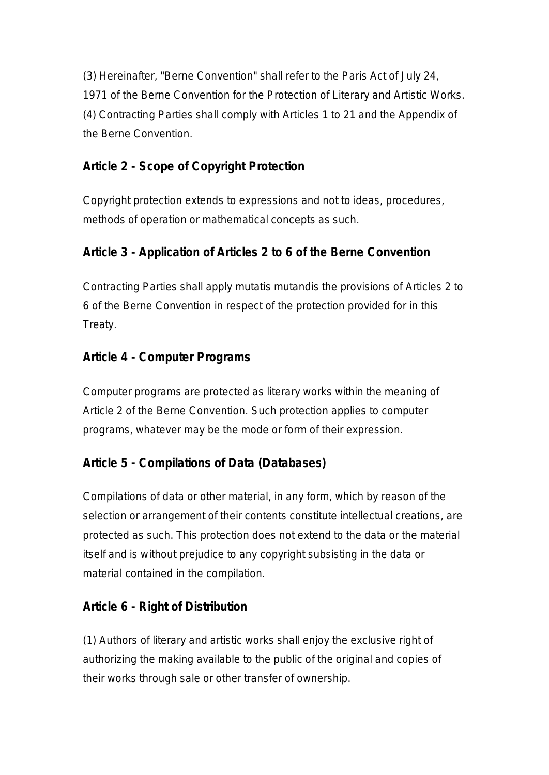(3) Hereinafter, "Berne Convention" shall refer to the Paris Act of July 24, 1971 of the Berne Convention for the Protection of Literary and Artistic Works. (4) Contracting Parties shall comply with Articles 1 to 21 and the Appendix of the Berne Convention.

## **Article 2 - Scope of Copyright Protection**

Copyright protection extends to expressions and not to ideas, procedures, methods of operation or mathematical concepts as such.

## **Article 3 - Application of Articles 2 to 6 of the Berne Convention**

Contracting Parties shall apply mutatis mutandis the provisions of Articles 2 to 6 of the Berne Convention in respect of the protection provided for in this Treaty.

### **Article 4 - Computer Programs**

Computer programs are protected as literary works within the meaning of Article 2 of the Berne Convention. Such protection applies to computer programs, whatever may be the mode or form of their expression.

# **Article 5 - Compilations of Data (Databases)**

Compilations of data or other material, in any form, which by reason of the selection or arrangement of their contents constitute intellectual creations, are protected as such. This protection does not extend to the data or the material itself and is without prejudice to any copyright subsisting in the data or material contained in the compilation.

### **Article 6 - Right of Distribution**

(1) Authors of literary and artistic works shall enjoy the exclusive right of authorizing the making available to the public of the original and copies of their works through sale or other transfer of ownership.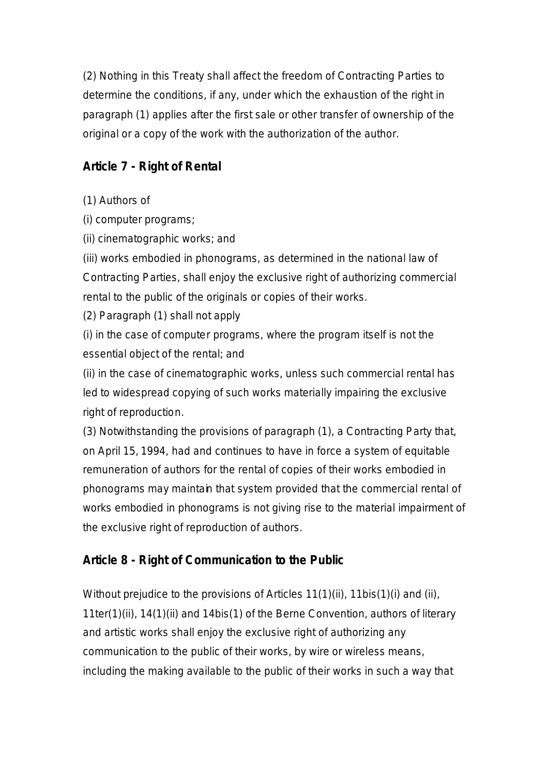(2) Nothing in this Treaty shall affect the freedom of Contracting Parties to determine the conditions, if any, under which the exhaustion of the right in paragraph (1) applies after the first sale or other transfer of ownership of the original or a copy of the work with the authorization of the author.

# **Article 7 - Right of Rental**

(1) Authors of

(i) computer programs;

(ii) cinematographic works; and

(iii) works embodied in phonograms, as determined in the national law of Contracting Parties, shall enjoy the exclusive right of authorizing commercial rental to the public of the originals or copies of their works.

(2) Paragraph (1) shall not apply

(i) in the case of computer programs, where the program itself is not the essential object of the rental; and

(ii) in the case of cinematographic works, unless such commercial rental has led to widespread copying of such works materially impairing the exclusive right of reproduction.

(3) Notwithstanding the provisions of paragraph (1), a Contracting Party that, on April 15, 1994, had and continues to have in force a system of equitable remuneration of authors for the rental of copies of their works embodied in phonograms may maintain that system provided that the commercial rental of works embodied in phonograms is not giving rise to the material impairment of the exclusive right of reproduction of authors.

# **Article 8 - Right of Communication to the Public**

Without prejudice to the provisions of Articles 11(1)(ii), 11bis(1)(i) and (ii), 11ter(1)(ii), 14(1)(ii) and 14bis(1) of the Berne Convention, authors of literary and artistic works shall enjoy the exclusive right of authorizing any communication to the public of their works, by wire or wireless means, including the making available to the public of their works in such a way that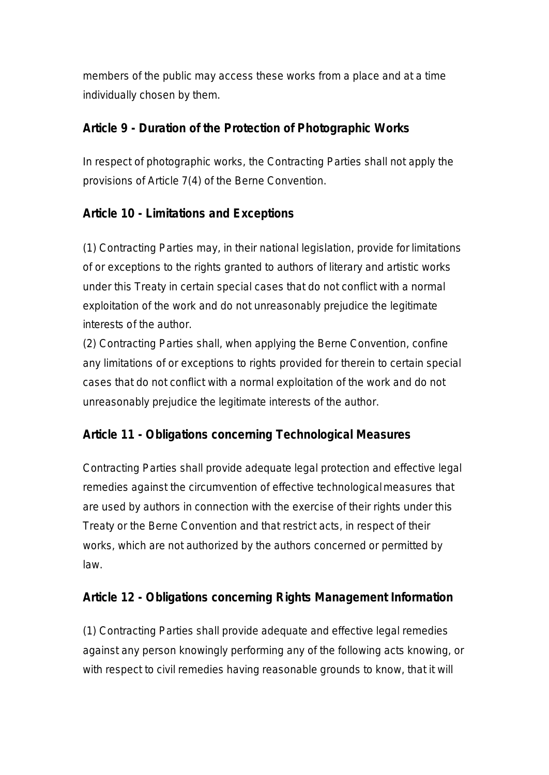members of the public may access these works from a place and at a time individually chosen by them.

### **Article 9 - Duration of the Protection of Photographic Works**

In respect of photographic works, the Contracting Parties shall not apply the provisions of Article 7(4) of the Berne Convention.

# **Article 10 - Limitations and Exceptions**

(1) Contracting Parties may, in their national legislation, provide for limitations of or exceptions to the rights granted to authors of literary and artistic works under this Treaty in certain special cases that do not conflict with a normal exploitation of the work and do not unreasonably prejudice the legitimate interests of the author.

(2) Contracting Parties shall, when applying the Berne Convention, confine any limitations of or exceptions to rights provided for therein to certain special cases that do not conflict with a normal exploitation of the work and do not unreasonably prejudice the legitimate interests of the author.

# **Article 11 - Obligations concerning Technological Measures**

Contracting Parties shall provide adequate legal protection and effective legal remedies against the circumvention of effective technological measures that are used by authors in connection with the exercise of their rights under this Treaty or the Berne Convention and that restrict acts, in respect of their works, which are not authorized by the authors concerned or permitted by law.

### **Article 12 - Obligations concerning Rights Management Information**

(1) Contracting Parties shall provide adequate and effective legal remedies against any person knowingly performing any of the following acts knowing, or with respect to civil remedies having reasonable grounds to know, that it will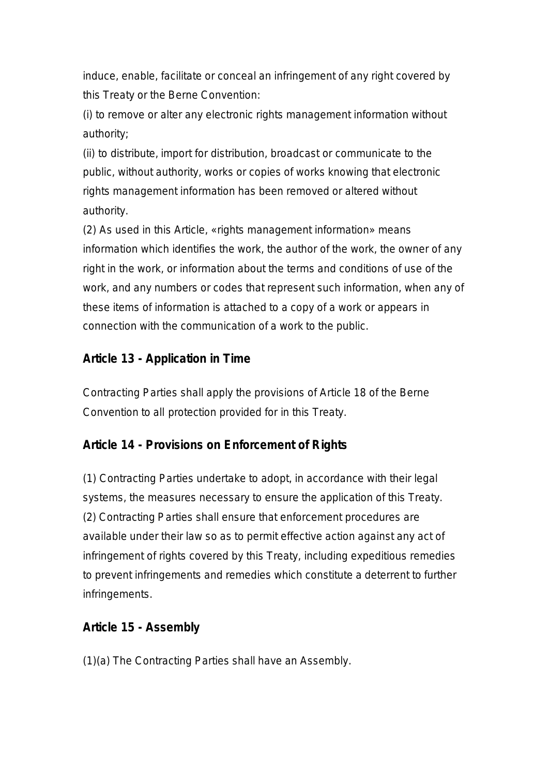induce, enable, facilitate or conceal an infringement of any right covered by this Treaty or the Berne Convention:

(i) to remove or alter any electronic rights management information without authority;

(ii) to distribute, import for distribution, broadcast or communicate to the public, without authority, works or copies of works knowing that electronic rights management information has been removed or altered without authority.

(2) As used in this Article, «rights management information» means information which identifies the work, the author of the work, the owner of any right in the work, or information about the terms and conditions of use of the work, and any numbers or codes that represent such information, when any of these items of information is attached to a copy of a work or appears in connection with the communication of a work to the public.

## **Article 13 - Application in Time**

Contracting Parties shall apply the provisions of Article 18 of the Berne Convention to all protection provided for in this Treaty.

### **Article 14 - Provisions on Enforcement of Rights**

(1) Contracting Parties undertake to adopt, in accordance with their legal systems, the measures necessary to ensure the application of this Treaty. (2) Contracting Parties shall ensure that enforcement procedures are available under their law so as to permit effective action against any act of infringement of rights covered by this Treaty, including expeditious remedies to prevent infringements and remedies which constitute a deterrent to further infringements.

### **Article 15 - Assembly**

(1)(a) The Contracting Parties shall have an Assembly.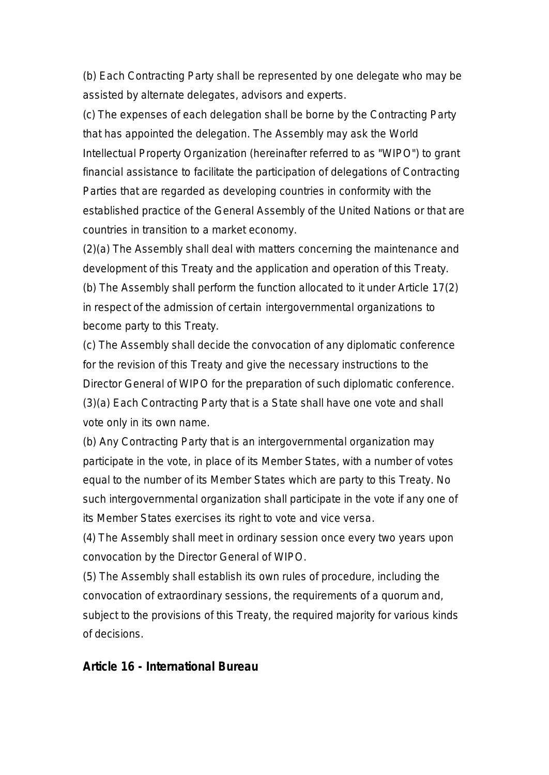(b) Each Contracting Party shall be represented by one delegate who may be assisted by alternate delegates, advisors and experts.

(c) The expenses of each delegation shall be borne by the Contracting Party that has appointed the delegation. The Assembly may ask the World Intellectual Property Organization (hereinafter referred to as "WIPO") to grant financial assistance to facilitate the participation of delegations of Contracting Parties that are regarded as developing countries in conformity with the established practice of the General Assembly of the United Nations or that are countries in transition to a market economy.

(2)(a) The Assembly shall deal with matters concerning the maintenance and development of this Treaty and the application and operation of this Treaty. (b) The Assembly shall perform the function allocated to it under Article 17(2) in respect of the admission of certain intergovernmental organizations to become party to this Treaty.

(c) The Assembly shall decide the convocation of any diplomatic conference for the revision of this Treaty and give the necessary instructions to the Director General of WIPO for the preparation of such diplomatic conference. (3)(a) Each Contracting Party that is a State shall have one vote and shall vote only in its own name.

(b) Any Contracting Party that is an intergovernmental organization may participate in the vote, in place of its Member States, with a number of votes equal to the number of its Member States which are party to this Treaty. No such intergovernmental organization shall participate in the vote if any one of its Member States exercises its right to vote and vice versa.

(4) The Assembly shall meet in ordinary session once every two years upon convocation by the Director General of WIPO.

(5) The Assembly shall establish its own rules of procedure, including the convocation of extraordinary sessions, the requirements of a quorum and, subject to the provisions of this Treaty, the required majority for various kinds of decisions.

#### **Article 16 - International Bureau**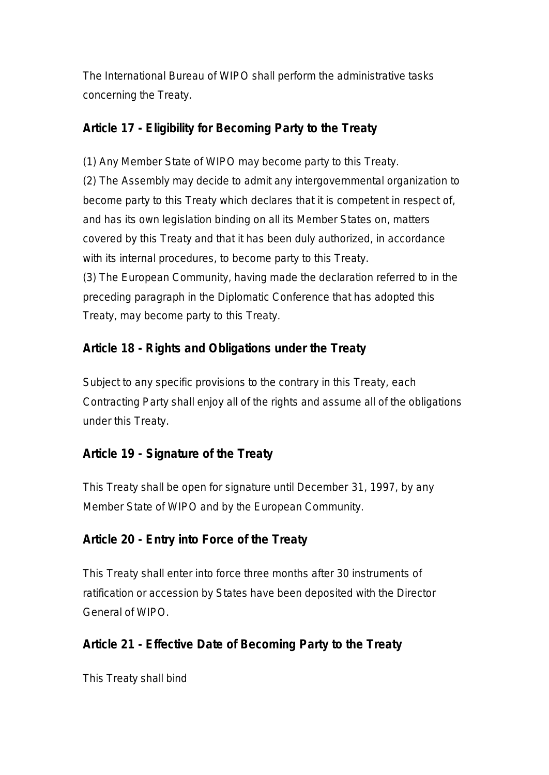The International Bureau of WIPO shall perform the administrative tasks concerning the Treaty.

### **Article 17 - Eligibility for Becoming Party to the Treaty**

(1) Any Member State of WIPO may become party to this Treaty. (2) The Assembly may decide to admit any intergovernmental organization to become party to this Treaty which declares that it is competent in respect of, and has its own legislation binding on all its Member States on, matters covered by this Treaty and that it has been duly authorized, in accordance with its internal procedures, to become party to this Treaty. (3) The European Community, having made the declaration referred to in the preceding paragraph in the Diplomatic Conference that has adopted this Treaty, may become party to this Treaty.

## **Article 18 - Rights and Obligations under the Treaty**

Subject to any specific provisions to the contrary in this Treaty, each Contracting Party shall enjoy all of the rights and assume all of the obligations under this Treaty.

### **Article 19 - Signature of the Treaty**

This Treaty shall be open for signature until December 31, 1997, by any Member State of WIPO and by the European Community.

### **Article 20 - Entry into Force of the Treaty**

This Treaty shall enter into force three months after 30 instruments of ratification or accession by States have been deposited with the Director General of WIPO.

### **Article 21 - Effective Date of Becoming Party to the Treaty**

This Treaty shall bind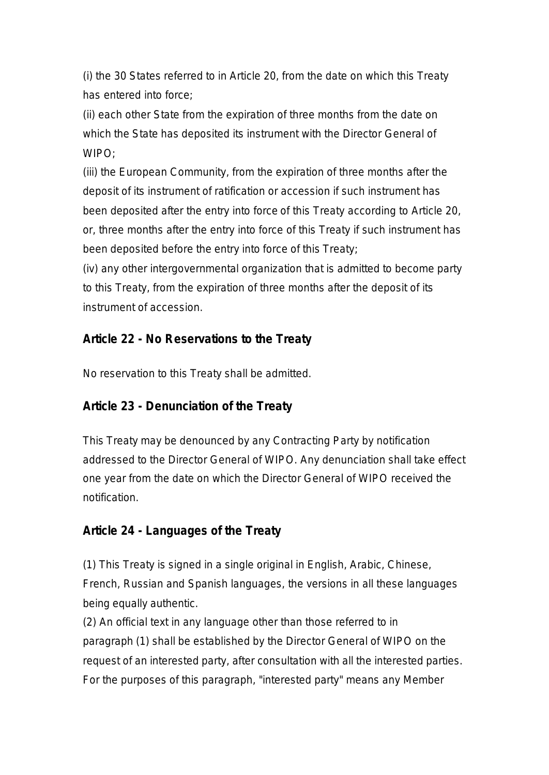(i) the 30 States referred to in Article 20, from the date on which this Treaty has entered into force;

(ii) each other State from the expiration of three months from the date on which the State has deposited its instrument with the Director General of WIPO;

(iii) the European Community, from the expiration of three months after the deposit of its instrument of ratification or accession if such instrument has been deposited after the entry into force of this Treaty according to Article 20, or, three months after the entry into force of this Treaty if such instrument has been deposited before the entry into force of this Treaty;

(iv) any other intergovernmental organization that is admitted to become party to this Treaty, from the expiration of three months after the deposit of its instrument of accession.

## **Article 22 - No Reservations to the Treaty**

No reservation to this Treaty shall be admitted.

# **Article 23 - Denunciation of the Treaty**

This Treaty may be denounced by any Contracting Party by notification addressed to the Director General of WIPO. Any denunciation shall take effect one year from the date on which the Director General of WIPO received the notification.

# **Article 24 - Languages of the Treaty**

(1) This Treaty is signed in a single original in English, Arabic, Chinese, French, Russian and Spanish languages, the versions in all these languages being equally authentic.

(2) An official text in any language other than those referred to in paragraph (1) shall be established by the Director General of WIPO on the request of an interested party, after consultation with all the interested parties. For the purposes of this paragraph, "interested party" means any Member